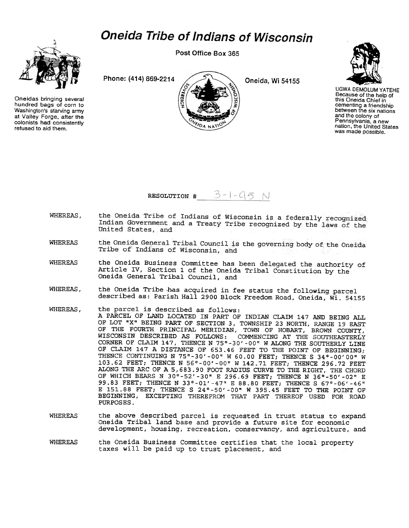## **Oneida Tribe of Indians of Wisconsin**



Oneidas bringing several hundred bags of corn to Washington's starving army at Valley Forge, after the colonists had consistently refused to aid them.

Post Office Box 365

Phone: (414) 869-2214 Oneida, Wi 54155



UGWA DEMOLUM YATEHE Because of the help of this Oneida Chief in cementing a friendship between the six nations and the colony of Pennsylvania, a new nation, the United States was made possible.



- the Oneida Tribe of Indians of Wisconsin is a federally recognized WHEREAS, Indian Government and a Treaty Tribe recognized by the laws of the United States, and
- the Oneida General Tribal Council is the governing body of the Oneida WHEREAS Tribe of Indians of Wisconsin, and
- WHEREAS the Oneida Business Committee has been delegated the authority of Article IV, Section 1 of the Oneida Tribal Constitution by the Oneida General Tribal Council, and
- WHEREAS, the Oneida Tribe has acquired in fee status the following parcel described as: Parish Hall 2900 Block Freedom Road, Oneida, Wi. 54155
- WHEREAS, the parcel is described as follows: A PARCEL OF LAND LOCATED IN PART OF INDIAN CLAIM 147 AND BEING ALL OF LOT "X" BEING PART OF SECTION 3, TOWNSHIP 23 NORTH, RANGE 19 EAST OF THE FOURTH PRINCIPAL MERIDIAN, TOWN OF HOBART, BROWN COUNTY, WISCONSIN DESCRIBED AS FOLLOWS: COMMENCING AT THE SOUTHEASTERLY CORNER OF CLAIM 147, THENCE N 75°-30' -00" W ALONG THE SOUTHERLY LINE OF CLAIM 147 A DISTANCE OF 653.46 FEET TO THE POINT OF BEGINNING; THENCE CONTINUING N 75°-30'-00" W 60.00 FEET; THENCE S 34°-00'00" W 103.62 FEET; THENCE N 56°-00'-00" W 142.71 FEET; THENCE 296.72 FEET ALONG THE ARC OF A 5,683.90 FOOT RADIUS CURVE TO THE RIGHT, THE CHORD OF WHICH BEARS N 30°-52'-30" E 296.69 FEET; THENCE N 36°-50'-02" E 99.B3 FEET; THENCE N 33°-01'-47" E BB.BO FEET; THENCE S 67°-06'-46" E 151.BB FEET; THENCE S 24°-50'-00" W 395.45 FEET TO THE POINT OF BEGINNING, EXCEPTING THEREFROM THAT PART THEREOF USED FOR ROAD PURPOSES.
- WHEREAS the above described parcel is requested in trust status to expand Oneida Tribal land base and provide a future site for economic development, housing, recreation, conservancy, and agriculture, and
- WHEREAS the Oneida Business Committee certifies that the local property taxes will be paid up to trust placement, and